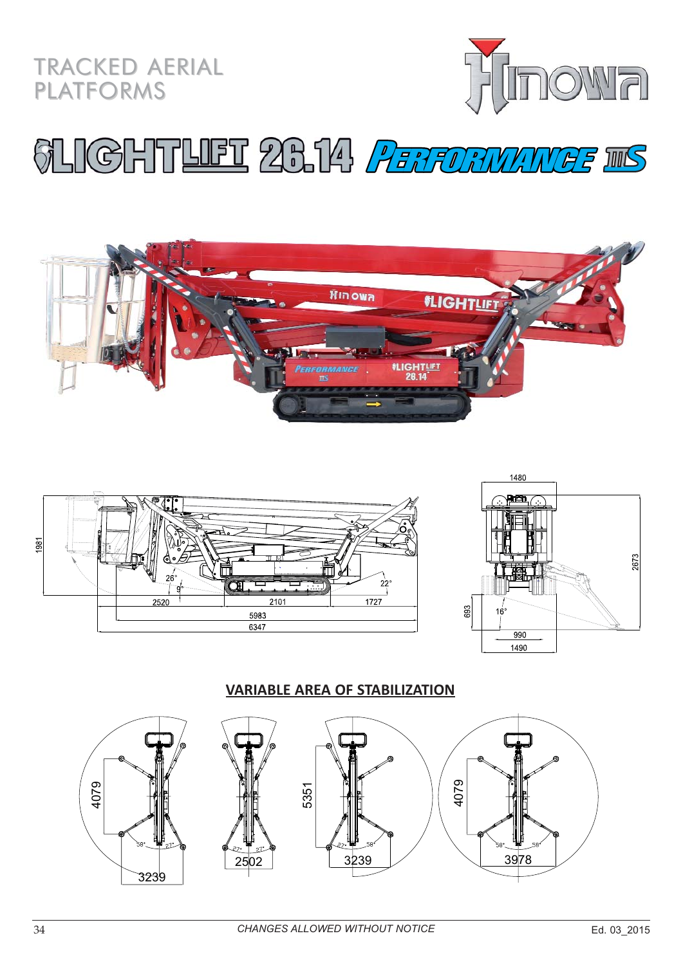



## **SLIGHTLIET 26.14 PERFORMANGE INS**







#### **VARIABLE AREA OF STABILIZATION**

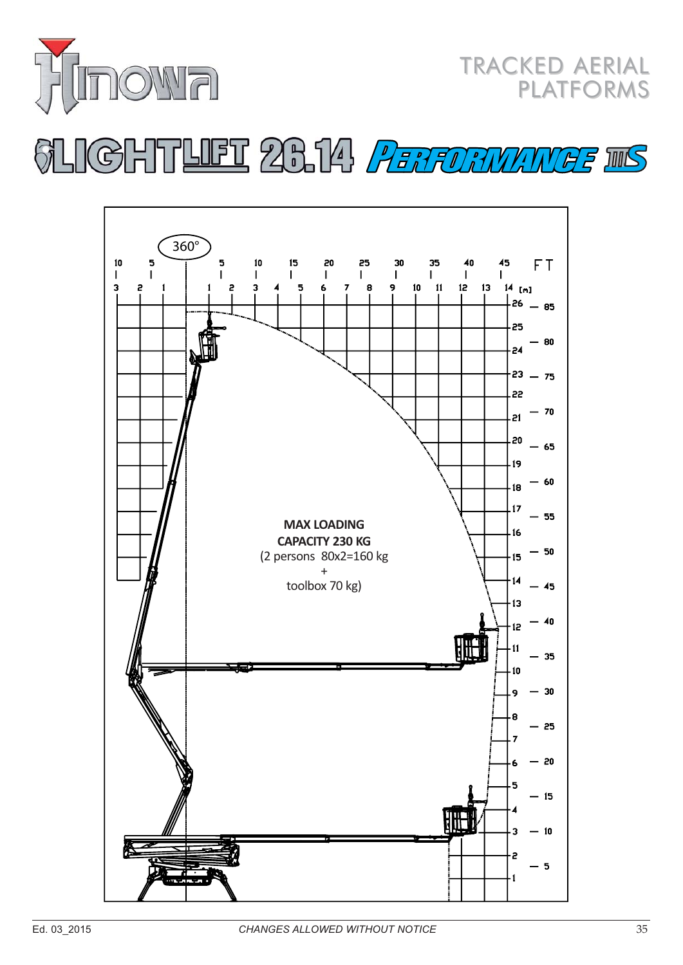

**TRACKED AERIAL PLATFORMS** 

## **IGHTLIET 26.14 PERFORMANGE INS**

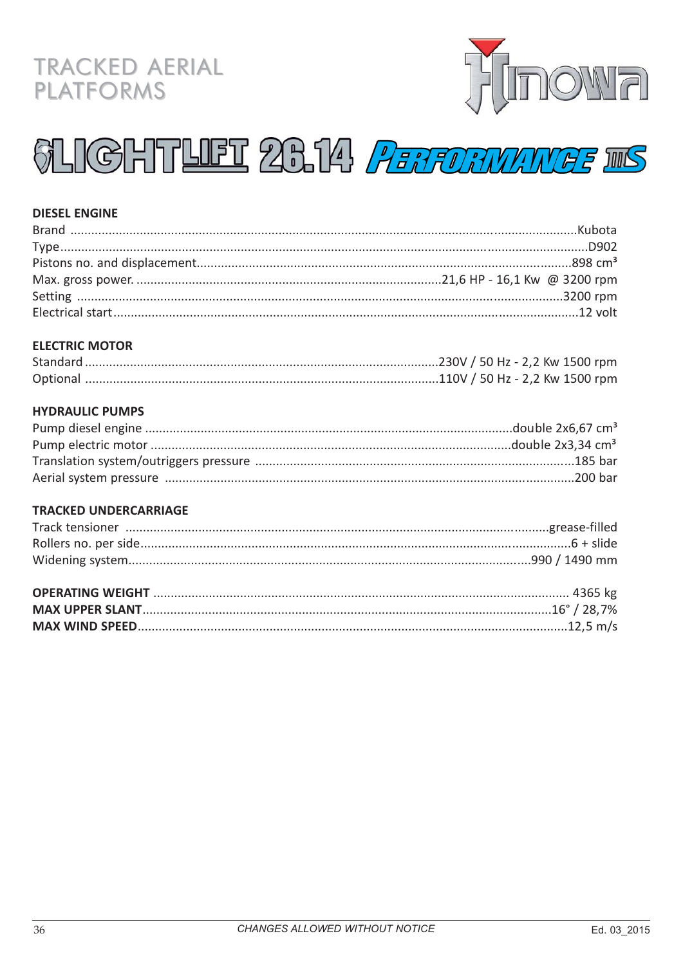### **TRACKED AERIAL PLATFORMS**



# **SLIGHTLIET 26.14 PERFORMANGE INS**

#### **DIESEL ENGINE**

#### **ELECTRIC MOTOR**

#### **HYDRAULIC PUMPS**

#### **TRACKED UNDERCARRIAGE**